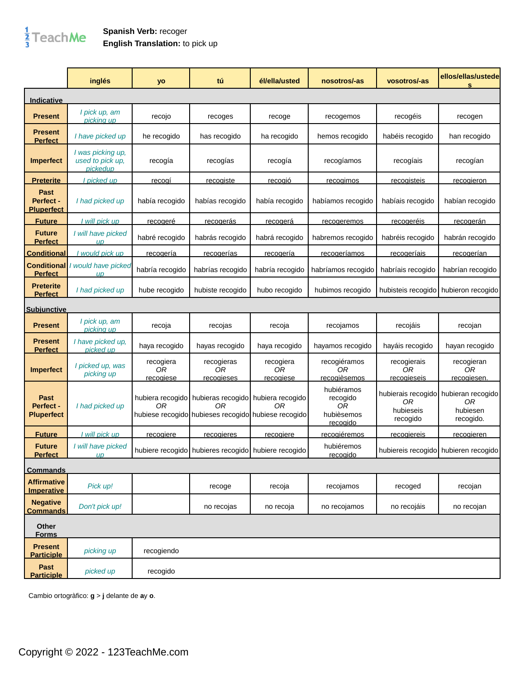## $\frac{1}{3}$ TeachMe

## **Spanish Verb:** recoger **English Translation:** to pick up

|                                        | inglés                                             | yo                           | tú                                                                                                               | él/ella/usted                       | nosotros/-as                                           | vosotros/-as                         | ellos/ellas/ustede<br>s                                             |
|----------------------------------------|----------------------------------------------------|------------------------------|------------------------------------------------------------------------------------------------------------------|-------------------------------------|--------------------------------------------------------|--------------------------------------|---------------------------------------------------------------------|
| Indicative                             |                                                    |                              |                                                                                                                  |                                     |                                                        |                                      |                                                                     |
| <b>Present</b>                         | I pick up, am<br>picking up                        | recojo                       | recoges                                                                                                          | recoge                              | recogemos                                              | recogéis                             | recogen                                                             |
| Present<br><b>Perfect</b>              | I have picked up                                   | he recogido                  | has recogido                                                                                                     | ha recogido                         | hemos recogido                                         | habéis recogido                      | han recogido                                                        |
| <b>Imperfect</b>                       | I was picking up,<br>used to pick up,<br>picked up | recogía                      | recogías                                                                                                         | recogía                             | recogíamos                                             | recogíais                            | recogían                                                            |
| <b>Preterite</b>                       | picked up                                          | <u>recogí</u>                | <u>recogiste</u>                                                                                                 | <u>recogió</u>                      | <u>recogimos</u>                                       | <u>recogisteis</u>                   | recogieron                                                          |
| Past<br>Perfect -<br><b>Pluperfect</b> | I had picked up                                    | había recogido               | habías recogido                                                                                                  | había recogido                      | habíamos recogido                                      | habíais recogido                     | habían recogido                                                     |
| <b>Future</b>                          | I will pick up                                     | recogeré                     | <u>recogerás</u>                                                                                                 | recogerá                            | recogeremos                                            | <u>recogeréis</u>                    | recogerán                                                           |
| <b>Future</b><br><b>Perfect</b>        | I will have picked<br>UD                           | habré recogido               | habrás recogido                                                                                                  | habrá recogido                      | habremos recogido                                      | habréis recogido                     | habrán recogido                                                     |
| <b>Conditional</b>                     | would pick up                                      | <u>recogería</u>             | <u>recogerías</u>                                                                                                | recogería                           | <u>recogeríamos</u>                                    | <u>recogeríais</u>                   | recogerían                                                          |
| Conditional<br><b>Perfect</b>          | I would have picked<br>$\mathbf{I}$                | habría recogido              | habrías recogido                                                                                                 | habría recogido                     | habríamos recogido                                     | habríais recogido                    | habrían recogido                                                    |
| Preterite<br><b>Perfect</b>            | I had picked up                                    | hube recogido                | hubiste recogido                                                                                                 | hubo recogido                       | hubimos recogido                                       |                                      | hubisteis recogido hubieron recogido                                |
| <b>Subjunctive</b>                     |                                                    |                              |                                                                                                                  |                                     |                                                        |                                      |                                                                     |
| <b>Present</b>                         | I pick up, am<br>picking up                        | recoja                       | recojas                                                                                                          | recoja                              | recojamos                                              | recojáis                             | recojan                                                             |
| <b>Present</b><br><b>Perfect</b>       | I have picked up,<br>picked up                     | haya recogido                | hayas recogido                                                                                                   | haya recogido                       | hayamos recogido                                       | hayáis recogido                      | hayan recogido                                                      |
| <b>Imperfect</b>                       | I picked up, was<br>picking up                     | recogiera<br>ОR<br>recogiese | recogieras<br>OR<br>recogieses                                                                                   | recogiera<br>0R<br><u>recogiese</u> | recogiéramos<br>OR<br>recogièsemos                     | recogierais<br>ΟR<br>recogieseis     | recogieran<br>0R<br>recogiesen.                                     |
| Past<br>Perfect -<br><b>Pluperfect</b> | I had picked up                                    | ΟR                           | hubiera recogido hubieras recogido hubiera recogido<br>ΟR<br>hubiese recogido hubieses recogido hubiese recogido | 0R                                  | hubiéramos<br>recogido<br>0R<br>hubièsemos<br>recogido | 0R<br>hubieseis<br>recogido          | hubierais recogido hubieran recogido<br>0R<br>hubiesen<br>recogido. |
| <b>Future</b>                          | I will pick up                                     | recogiere                    | <u>recogieres</u>                                                                                                | recogiere                           | <u>recogiéremos</u>                                    | <u>recogiereis</u>                   | <u>recogieren</u>                                                   |
| <b>Future</b><br><b>Perfect</b>        | I will have picked<br>$\mathsf{u}\mathsf{p}$       |                              | hubiere recogido hubieres recogido hubiere recogido                                                              |                                     | hubiéremos<br>recogido                                 | hubiereis recogido hubieren recogido |                                                                     |
| <b>Commands</b>                        |                                                    |                              |                                                                                                                  |                                     |                                                        |                                      |                                                                     |
| <b>Affirmative</b><br>Imperative       | Pick up!                                           |                              | recoge                                                                                                           | recoja                              | recojamos                                              | recoged                              | recojan                                                             |
| <b>Negative</b><br><b>Commands</b>     | Don't pick up!                                     |                              | no recojas                                                                                                       | no recoja                           | no recojamos                                           | no recojáis                          | no recojan                                                          |
| Other<br><b>Forms</b>                  |                                                    |                              |                                                                                                                  |                                     |                                                        |                                      |                                                                     |
| <b>Present</b><br><b>Participle</b>    | picking up                                         | recogiendo                   |                                                                                                                  |                                     |                                                        |                                      |                                                                     |
| Past<br><b>Participle</b>              | picked up                                          | recogido                     |                                                                                                                  |                                     |                                                        |                                      |                                                                     |

Cambio ortogràfico: **g** > **j** delante de **a**y **o**.